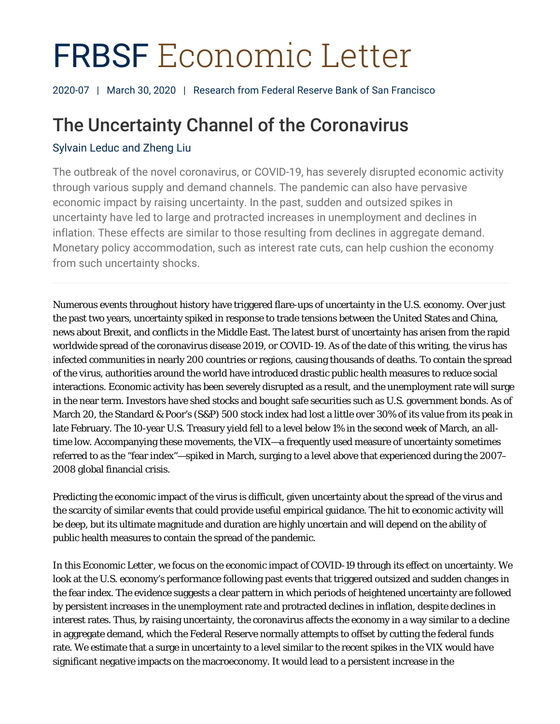# FRBSF Economic Letter

2020-07 | March 30, 2020 | Research from Federal Reserve Bank of San Francisco

# The Uncertainty Channel of the Coronavirus

# Sylvain Leduc and Zheng Liu

The outbreak of the novel coronavirus, or COVID-19, has severely disrupted economic activity through various supply and demand channels. The pandemic can also have pervasive economic impact by raising uncertainty. In the past, sudden and outsized spikes in uncertainty have led to large and protracted increases in unemployment and declines in inflation. These effects are similar to those resulting from declines in aggregate demand. Monetary policy accommodation, such as interest rate cuts, can help cushion the economy from such uncertainty shocks.

Numerous events throughout history have triggered flare-ups of uncertainty in the U.S. economy. Over just the past two years, uncertainty spiked in response to trade tensions between the United States and China, news about Brexit, and conflicts in the Middle East. The latest burst of uncertainty has arisen from the rapid worldwide spread of the coronavirus disease 2019, or COVID-19. As of the date of this writing, the virus has infected communities in nearly 200 countries or regions, causing thousands of deaths. To contain the spread of the virus, authorities around the world have introduced drastic public health measures to reduce social interactions. Economic activity has been severely disrupted as a result, and the unemployment rate will surge in the near term. Investors have shed stocks and bought safe securities such as U.S. government bonds. As of March 20, the Standard & Poor's (S&P) 500 stock index had lost a little over 30% of its value from its peak in late February. The 10-year U.S. Treasury yield fell to a level below 1% in the second week of March, an alltime low. Accompanying these movements, the VIX—a frequently used measure of uncertainty sometimes referred to as the "fear index"—spiked in March, surging to a level above that experienced during the 2007– 2008 global financial crisis.

Predicting the economic impact of the virus is difficult, given uncertainty about the spread of the virus and the scarcity of similar events that could provide useful empirical guidance. The hit to economic activity will be deep, but its ultimate magnitude and duration are highly uncertain and will depend on the ability of public health measures to contain the spread of the pandemic.

In this *Economic Letter*, we focus on the economic impact of COVID-19 through its effect on uncertainty. We look at the U.S. economy's performance following past events that triggered outsized and sudden changes in the fear index. The evidence suggests a clear pattern in which periods of heightened uncertainty are followed by persistent increases in the unemployment rate and protracted declines in inflation, despite declines in interest rates. Thus, by raising uncertainty, the coronavirus affects the economy in a way similar to a decline in aggregate demand, which the Federal Reserve normally attempts to offset by cutting the federal funds rate. We estimate that a surge in uncertainty to a level similar to the recent spikes in the VIX would have significant negative impacts on the macroeconomy. It would lead to a persistent increase in the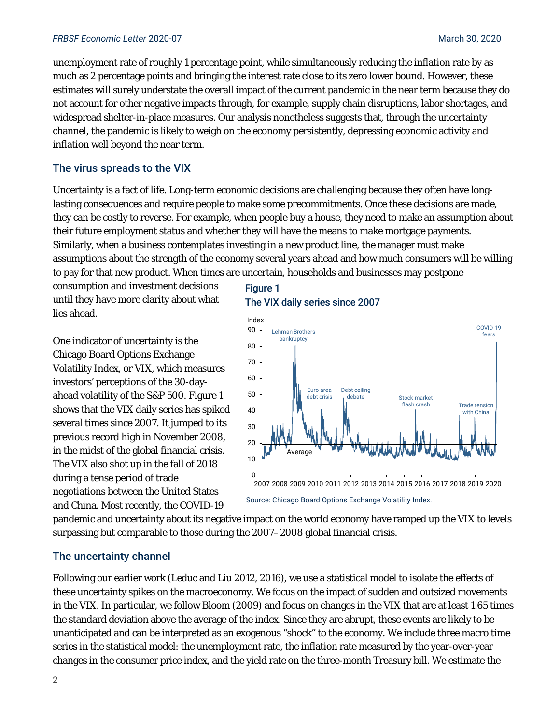#### *FRBSF Economic Letter* 2020-07 March 30, 2020

unemployment rate of roughly 1 percentage point, while simultaneously reducing the inflation rate by as much as 2 percentage points and bringing the interest rate close to its zero lower bound. However, these estimates will surely understate the overall impact of the current pandemic in the near term because they do not account for other negative impacts through, for example, supply chain disruptions, labor shortages, and widespread shelter-in-place measures. Our analysis nonetheless suggests that, through the uncertainty channel, the pandemic is likely to weigh on the economy persistently, depressing economic activity and inflation well beyond the near term.

#### The virus spreads to the VIX

Uncertainty is a fact of life. Long-term economic decisions are challenging because they often have longlasting consequences and require people to make some precommitments. Once these decisions are made, they can be costly to reverse. For example, when people buy a house, they need to make an assumption about their future employment status and whether they will have the means to make mortgage payments. Similarly, when a business contemplates investing in a new product line, the manager must make assumptions about the strength of the economy several years ahead and how much consumers will be willing to pay for that new product. When times are uncertain, households and businesses may postpone

consumption and investment decisions until they have more clarity about what lies ahead.

One indicator of uncertainty is the Chicago Board Options Exchange Volatility Index, or VIX, which measures investors' perceptions of the 30-dayahead volatility of the S&P 500. Figure 1 shows that the VIX daily series has spiked several times since 2007. It jumped to its previous record high in November 2008, in the midst of the global financial crisis. The VIX also shot up in the fall of 2018 during a tense period of trade negotiations between the United States and China. Most recently, the COVID-19

#### **Figure 1** The VIX daily series since 2007



pandemic and uncertainty about its negative impact on the world economy have ramped up the VIX to levels surpassing but comparable to those during the 2007–2008 global financial crisis.

#### The uncertainty channel

Following our earlier work (Leduc and Liu 2012, 2016), we use a statistical model to isolate the effects of these uncertainty spikes on the macroeconomy. We focus on the impact of sudden and outsized movements in the VIX. In particular, we follow Bloom (2009) and focus on changes in the VIX that are at least 1.65 times the standard deviation above the average of the index. Since they are abrupt, these events are likely to be unanticipated and can be interpreted as an exogenous "shock" to the economy. We include three macro time series in the statistical model: the unemployment rate, the inflation rate measured by the year-over-year changes in the consumer price index, and the yield rate on the three-month Treasury bill. We estimate the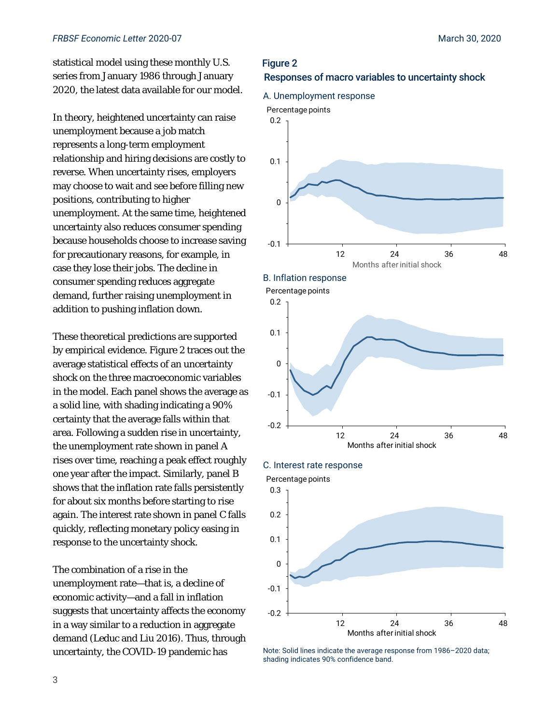statistical model using these monthly U.S. series from January 1986 through January 2020, the latest data available for our model.

In theory, heightened uncertainty can raise unemployment because a job match represents a long-term employment relationship and hiring decisions are costly to reverse. When uncertainty rises, employers may choose to wait and see before filling new positions, contributing to higher unemployment. At the same time, heightened uncertainty also reduces consumer spending because households choose to increase saving for precautionary reasons, for example, in case they lose their jobs. The decline in consumer spending reduces aggregate demand, further raising unemployment in addition to pushing inflation down.

These theoretical predictions are supported by empirical evidence. Figure 2 traces out the average statistical effects of an uncertainty shock on the three macroeconomic variables in the model. Each panel shows the average as a solid line, with shading indicating a 90% certainty that the average falls within that area. Following a sudden rise in uncertainty, the unemployment rate shown in panel A rises over time, reaching a peak effect roughly one year after the impact. Similarly, panel B shows that the inflation rate falls persistently for about six months before starting to rise again. The interest rate shown in panel C falls quickly, reflecting monetary policy easing in response to the uncertainty shock.

The combination of a rise in the unemployment rate—that is, a decline of economic activity—and a fall in inflation suggests that uncertainty affects the economy in a way similar to a reduction in aggregate demand (Leduc and Liu 2016). Thus, through uncertainty, the COVID-19 pandemic has

# Figure 2 Responses of macro variables to uncertainty shock



Note: Solid lines indicate the average response from 1986–2020 data; shading indicates 90% confidence band.

Months after initial shock

12 24 36 48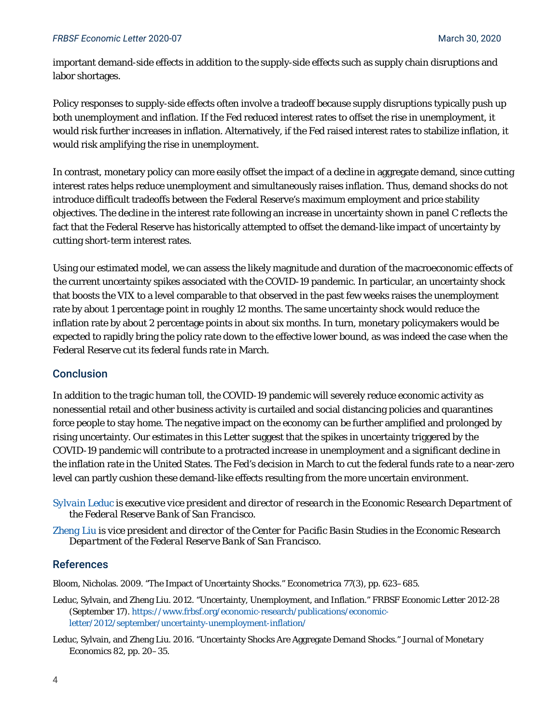important demand-side effects in addition to the supply-side effects such as supply chain disruptions and labor shortages.

Policy responses to supply-side effects often involve a tradeoff because supply disruptions typically push up both unemployment and inflation. If the Fed reduced interest rates to offset the rise in unemployment, it would risk further increases in inflation. Alternatively, if the Fed raised interest rates to stabilize inflation, it would risk amplifying the rise in unemployment.

In contrast, monetary policy can more easily offset the impact of a decline in aggregate demand, since cutting interest rates helps reduce unemployment and simultaneously raises inflation. Thus, demand shocks do not introduce difficult tradeoffs between the Federal Reserve's maximum employment and price stability objectives. The decline in the interest rate following an increase in uncertainty shown in panel C reflects the fact that the Federal Reserve has historically attempted to offset the demand-like impact of uncertainty by cutting short-term interest rates.

Using our estimated model, we can assess the likely magnitude and duration of the macroeconomic effects of the current uncertainty spikes associated with the COVID-19 pandemic. In particular, an uncertainty shock that boosts the VIX to a level comparable to that observed in the past few weeks raises the unemployment rate by about 1 percentage point in roughly 12 months. The same uncertainty shock would reduce the inflation rate by about 2 percentage points in about six months. In turn, monetary policymakers would be expected to rapidly bring the policy rate down to the effective lower bound, as was indeed the case when the Federal Reserve cut its federal funds rate in March.

#### Conclusion

In addition to the tragic human toll, the COVID-19 pandemic will severely reduce economic activity as nonessential retail and other business activity is curtailed and social distancing policies and quarantines force people to stay home. The negative impact on the economy can be further amplified and prolonged by rising uncertainty. Our estimates in this *Letter* suggest that the spikes in uncertainty triggered by the COVID-19 pandemic will contribute to a protracted increase in unemployment and a significant decline in the inflation rate in the United States. The Fed's decision in March to cut the federal funds rate to a near-zero level can partly cushion these demand-like effects resulting from the more uncertain environment.

*Sylvain Leduc is executive vice president and director of research in the Economic Research Department of the Federal Reserve Bank of San Francisco.* 

*Zheng Liu is vice president and director of the Center for Pacific Basin Studies in the Economic Research Department of the Federal Reserve Bank of San Francisco.* 

#### References

Bloom, Nicholas. 2009. "The Impact of Uncertainty Shocks." *Econometrica* 77(3), pp. 623–685.

- Leduc, Sylvain, and Zheng Liu. 2012. "Uncertainty, Unemployment, and Inflation." *FRBSF Economic Letter* 2012-28 (September 17). https://www.frbsf.org/economic-research/publications/economicletter/2012/september/uncertainty-unemployment-inflation/
- Leduc, Sylvain, and Zheng Liu. 2016. "Uncertainty Shocks Are Aggregate Demand Shocks." *Journal of Monetary Economics* 82, pp. 20–35.